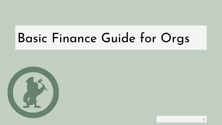#### Basic Finance Guide for Orgs

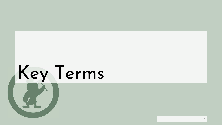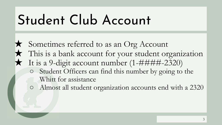#### Student Club Account

- ★ Sometimes referred to as an Org Account ★ This is a bank account for your student organization  $\star$  It is a 9-digit account number (1-####-2320) ○ Student Officers can find this number by going to the Whitt for assistance
	- Almost all student organization accounts end with a 2320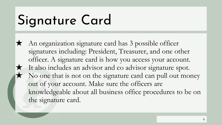#### Signature Card

★ An organization signature card has 3 possible officer signatures including: President, Treasurer, and one other officer. A signature card is how you access your account. It also includes an advisor and co advisor signature spot.  $\star$  No one that is not on the signature card can pull out money out of your account. Make sure the officers are knowledgeable about all business office procedures to be on the signature card.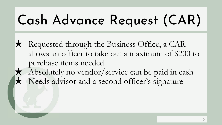#### Cash Advance Request (CAR)

★ Requested through the Business Office, a CAR allows an officer to take out a maximum of \$200 to purchase items needed Absolutely no vendor/service can be paid in cash Needs advisor and a second officer's signature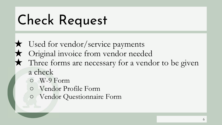#### Check Request

- ★ Used for vendor/service payments Original invoice from vendor needed ★ Three forms are necessary for a vendor to be given a check
	- W-9 Form
	- Vendor Profile Form
	- Vendor Questionnaire Form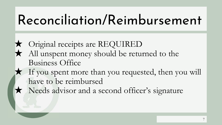#### Reconciliation/Reimbursement

- ★ Original receipts are REQUIRED ★ All unspent money should be returned to the Business Office
	- If you spent more than you requested, then you will have to be reimbursed
- ★ Needs advisor and a second officer's signature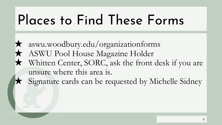#### Places to Find These Forms

★ aswu.woodbury.edu/organizationforms ★ ASWU Pool House Magazine Holder ★ Whitten Center, SORC, ask the front desk if you are unsure where this area is. Signature cards can be requested by Michelle Sidney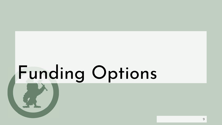# Funding Options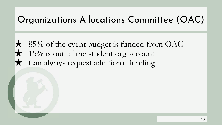#### Organizations Allocations Committee (OAC)

 $\star$  85% of the event budget is funded from OAC  $\star$  15% is out of the student org account ★ Can always request additional funding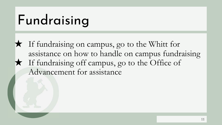#### Fundraising

★ If fundraising on campus, go to the Whitt for assistance on how to handle on campus fundraising ★ If fundraising off campus, go to the Office of Advancement for assistance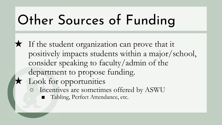#### Other Sources of Funding

★ If the student organization can prove that it positively impacts students within a major/school, consider speaking to faculty/admin of the department to propose funding. ★ Look for opportunities ○ Incentives are sometimes offered by ASWU ■ Tabling, Perfect Attendance, etc.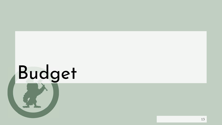![](_page_12_Picture_0.jpeg)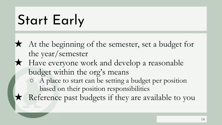#### Start Early

- ★ At the beginning of the semester, set a budget for the year/semester
- ★ Have everyone work and develop a reasonable budget within the org's means
	- A place to start can be setting a budget per position based on their position responsibilities
	- Reference past budgets if they are available to you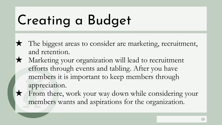#### Creating a Budget

- ★ The biggest areas to consider are marketing, recruitment, and retention.
- ★ Marketing your organization will lead to recruitment efforts through events and tabling. After you have members it is important to keep members through appreciation.
- From there, work your way down while considering your members wants and aspirations for the organization.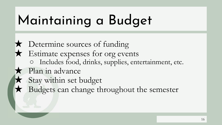#### Maintaining a Budget

★ Determine sources of funding ★ Estimate expenses for org events ○ Includes food, drinks, supplies, entertainment, etc. ★ Plan in advance ★ Stay within set budget ★ Budgets can change throughout the semester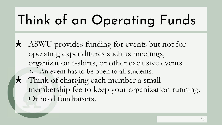### Think of an Operating Funds

★ ASWU provides funding for events but not for operating expenditures such as meetings, organization t-shirts, or other exclusive events. ○ An event has to be open to all students. Think of charging each member a small membership fee to keep your organization running. Or hold fundraisers.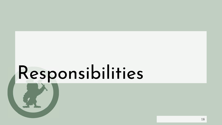## Responsibilities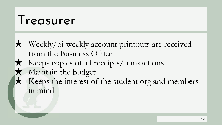#### Treasurer

★ Weekly/bi-weekly account printouts are received from the Business Office ★ Keeps copies of all receipts/transactions Maintain the budget Keeps the interest of the student org and members in mind